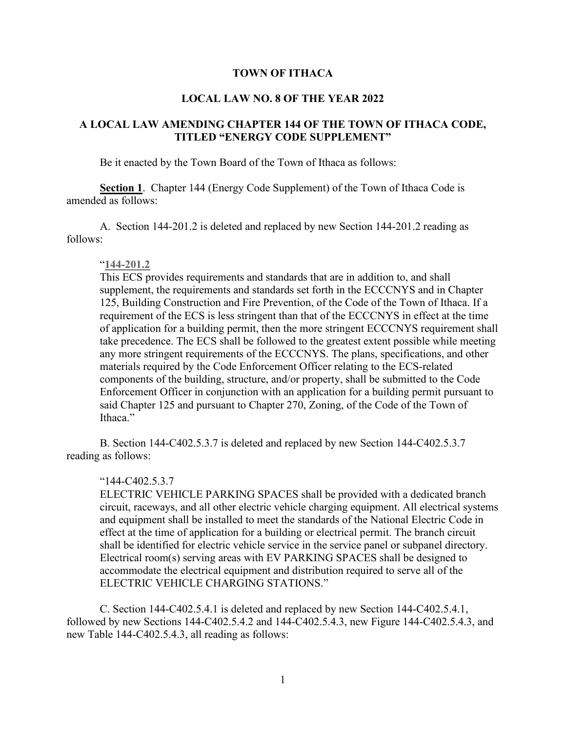#### **TOWN OF ITHACA**

#### **LOCAL LAW NO. 8 OF THE YEAR 2022**

## **A LOCAL LAW AMENDING CHAPTER 144 OF THE TOWN OF ITHACA CODE, TITLED "ENERGY CODE SUPPLEMENT"**

Be it enacted by the Town Board of the Town of Ithaca as follows:

**Section 1**. Chapter 144 (Energy Code Supplement) of the Town of Ithaca Code is amended as follows:

A. Section 144-201.2 is deleted and replaced by new Section 144-201.2 reading as follows:

#### "**144-201.2**

This ECS provides requirements and standards that are in addition to, and shall supplement, the requirements and standards set forth in the ECCCNYS and in Chapter 125, Building Construction and Fire Prevention, of the Code of the Town of Ithaca. If a requirement of the ECS is less stringent than that of the ECCCNYS in effect at the time of application for a building permit, then the more stringent ECCCNYS requirement shall take precedence. The ECS shall be followed to the greatest extent possible while meeting any more stringent requirements of the ECCCNYS. The plans, specifications, and other materials required by the Code Enforcement Officer relating to the ECS-related components of the building, structure, and/or property, shall be submitted to the Code Enforcement Officer in conjunction with an application for a building permit pursuant to said Chapter 125 and pursuant to Chapter 270, Zoning, of the Code of the Town of Ithaca."

B. Section 144-C402.5.3.7 is deleted and replaced by new Section 144-C402.5.3.7 reading as follows:

#### "144-C402.5.3.7

ELECTRIC VEHICLE PARKING SPACES shall be provided with a dedicated branch circuit, raceways, and all other electric vehicle charging equipment. All electrical systems and equipment shall be installed to meet the standards of the National Electric Code in effect at the time of application for a building or electrical permit. The branch circuit shall be identified for electric vehicle service in the service panel or subpanel directory. Electrical room(s) serving areas with EV PARKING SPACES shall be designed to accommodate the electrical equipment and distribution required to serve all of the ELECTRIC VEHICLE CHARGING STATIONS."

C. Section 144-C402.5.4.1 is deleted and replaced by new Section 144-C402.5.4.1, followed by new Sections 144-C402.5.4.2 and 144-C402.5.4.3, new Figure 144-C402.5.4.3, and new Table 144-C402.5.4.3, all reading as follows: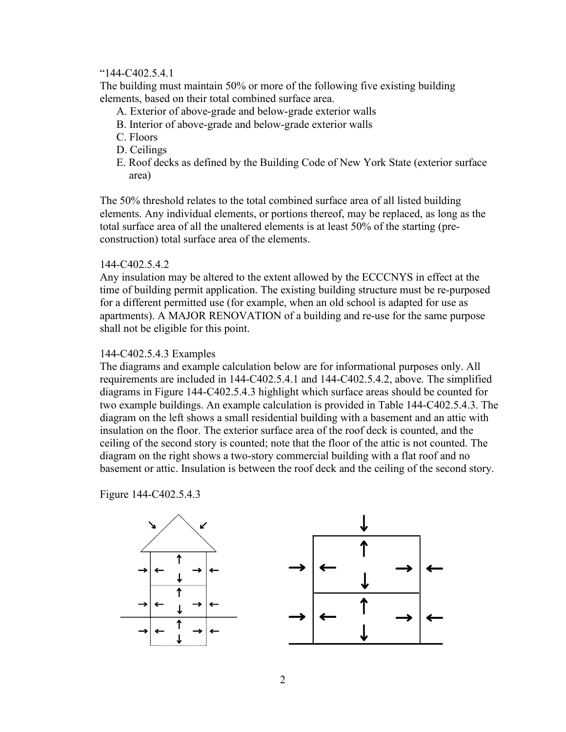#### "144-C402.5.4.1

The building must maintain 50% or more of the following five existing building elements, based on their total combined surface area.

- A. Exterior of above-grade and below-grade exterior walls
- B. Interior of above-grade and below-grade exterior walls
- C. Floors
- D. Ceilings
- E. Roof decks as defined by the Building Code of New York State (exterior surface area)

The 50% threshold relates to the total combined surface area of all listed building elements. Any individual elements, or portions thereof, may be replaced, as long as the total surface area of all the unaltered elements is at least 50% of the starting (preconstruction) total surface area of the elements.

#### 144-C402.5.4.2

Any insulation may be altered to the extent allowed by the ECCCNYS in effect at the time of building permit application. The existing building structure must be re-purposed for a different permitted use (for example, when an old school is adapted for use as apartments). A MAJOR RENOVATION of a building and re-use for the same purpose shall not be eligible for this point.

#### 144-C402.5.4.3 Examples

The diagrams and example calculation below are for informational purposes only. All requirements are included in 144-C402.5.4.1 and 144-C402.5.4.2, above. The simplified diagrams in Figure 144-C402.5.4.3 highlight which surface areas should be counted for two example buildings. An example calculation is provided in Table 144-C402.5.4.3. The diagram on the left shows a small residential building with a basement and an attic with insulation on the floor. The exterior surface area of the roof deck is counted, and the ceiling of the second story is counted; note that the floor of the attic is not counted. The diagram on the right shows a two-story commercial building with a flat roof and no basement or attic. Insulation is between the roof deck and the ceiling of the second story.

Figure 144-C402.5.4.3



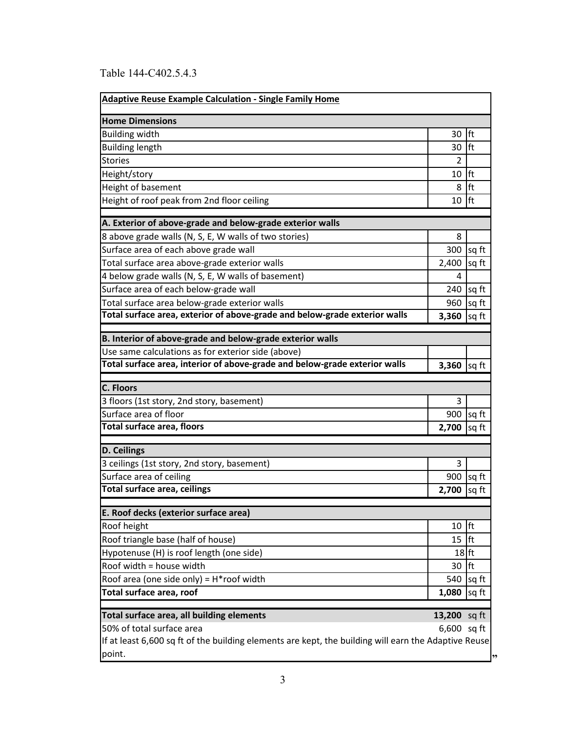# Table 144-C402.5.4.3

| <b>Adaptive Reuse Example Calculation - Single Family Home</b>                                                  |                |             |  |
|-----------------------------------------------------------------------------------------------------------------|----------------|-------------|--|
| <b>Home Dimensions</b>                                                                                          |                |             |  |
| <b>Building width</b>                                                                                           | 30             | lft         |  |
| <b>Building length</b>                                                                                          | 30             | lft         |  |
| <b>Stories</b>                                                                                                  | $\overline{2}$ |             |  |
| Height/story                                                                                                    | 10             | lft         |  |
| Height of basement                                                                                              | 8              | lft         |  |
| Height of roof peak from 2nd floor ceiling                                                                      | 10             | lft         |  |
| A. Exterior of above-grade and below-grade exterior walls                                                       |                |             |  |
| 8 above grade walls (N, S, E, W walls of two stories)                                                           | 8              |             |  |
| Surface area of each above grade wall                                                                           |                | 300   sq ft |  |
| Total surface area above-grade exterior walls                                                                   | 2,400          | sq ft       |  |
| 4 below grade walls (N, S, E, W walls of basement)                                                              | 4              |             |  |
| Surface area of each below-grade wall                                                                           | 240            | sq ft       |  |
| Total surface area below-grade exterior walls                                                                   | 960            | sq ft       |  |
| Total surface area, exterior of above-grade and below-grade exterior walls                                      | 3,360          | sq ft       |  |
|                                                                                                                 |                |             |  |
| B. Interior of above-grade and below-grade exterior walls<br>Use same calculations as for exterior side (above) |                |             |  |
| Total surface area, interior of above-grade and below-grade exterior walls                                      | 3,360 $sqft$   |             |  |
|                                                                                                                 |                |             |  |
| C. Floors                                                                                                       |                |             |  |
| 3 floors (1st story, 2nd story, basement)                                                                       | 3              |             |  |
| Surface area of floor                                                                                           |                | 900   sq ft |  |
| <b>Total surface area, floors</b>                                                                               | 2,700          | sq ft       |  |
| D. Ceilings                                                                                                     |                |             |  |
| 3 ceilings (1st story, 2nd story, basement)                                                                     | 3              |             |  |
| Surface area of ceiling                                                                                         |                | 900   sq ft |  |
| Total surface area, ceilings                                                                                    | 2,700          | sq ft       |  |
| E. Roof decks (exterior surface area)                                                                           |                |             |  |
| Roof height                                                                                                     | 10             | lft         |  |
| Roof triangle base (half of house)                                                                              | 15             | lft         |  |
| Hypotenuse (H) is roof length (one side)                                                                        | $18$ ft        |             |  |
| Roof width = house width                                                                                        | 30             | ft          |  |
| Roof area (one side only) = $H*$ roof width                                                                     | 540            | sq ft       |  |
| Total surface area, roof                                                                                        | 1,080          | sq ft       |  |
|                                                                                                                 |                |             |  |
| Total surface area, all building elements                                                                       | 13,200 sq ft   |             |  |
| 50% of total surface area                                                                                       | 6,600 sq ft    |             |  |
| If at least 6,600 sq ft of the building elements are kept, the building will earn the Adaptive Reuse            |                |             |  |
| point.                                                                                                          |                |             |  |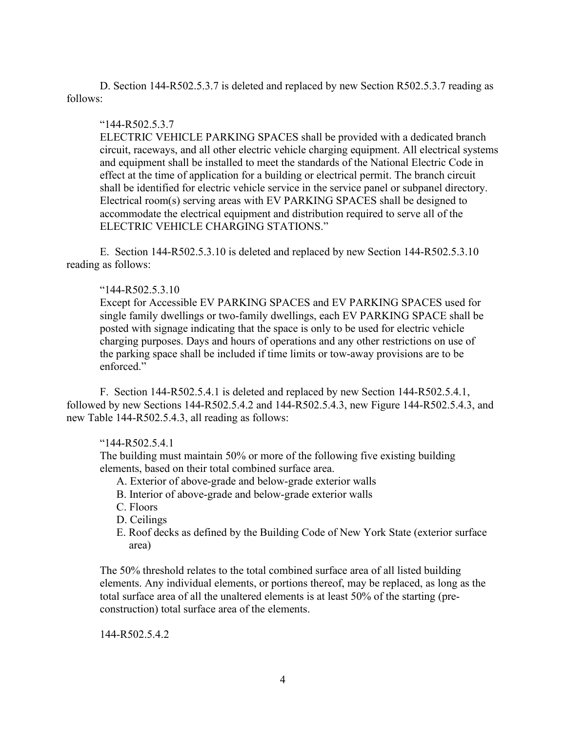D. Section 144-R502.5.3.7 is deleted and replaced by new Section R502.5.3.7 reading as follows:

## "144-R502.5.3.7

ELECTRIC VEHICLE PARKING SPACES shall be provided with a dedicated branch circuit, raceways, and all other electric vehicle charging equipment. All electrical systems and equipment shall be installed to meet the standards of the National Electric Code in effect at the time of application for a building or electrical permit. The branch circuit shall be identified for electric vehicle service in the service panel or subpanel directory. Electrical room(s) serving areas with EV PARKING SPACES shall be designed to accommodate the electrical equipment and distribution required to serve all of the ELECTRIC VEHICLE CHARGING STATIONS."

E. Section 144-R502.5.3.10 is deleted and replaced by new Section 144-R502.5.3.10 reading as follows:

## "144-R502.5.3.10

Except for Accessible EV PARKING SPACES and EV PARKING SPACES used for single family dwellings or two-family dwellings, each EV PARKING SPACE shall be posted with signage indicating that the space is only to be used for electric vehicle charging purposes. Days and hours of operations and any other restrictions on use of the parking space shall be included if time limits or tow-away provisions are to be enforced."

F. Section 144-R502.5.4.1 is deleted and replaced by new Section 144-R502.5.4.1, followed by new Sections 144-R502.5.4.2 and 144-R502.5.4.3, new Figure 144-R502.5.4.3, and new Table 144-R502.5.4.3, all reading as follows:

## "144-R502.5.4.1

The building must maintain 50% or more of the following five existing building elements, based on their total combined surface area.

- A. Exterior of above-grade and below-grade exterior walls
- B. Interior of above-grade and below-grade exterior walls
- C. Floors
- D. Ceilings
- E. Roof decks as defined by the Building Code of New York State (exterior surface area)

The 50% threshold relates to the total combined surface area of all listed building elements. Any individual elements, or portions thereof, may be replaced, as long as the total surface area of all the unaltered elements is at least 50% of the starting (preconstruction) total surface area of the elements.

144-R502.5.4.2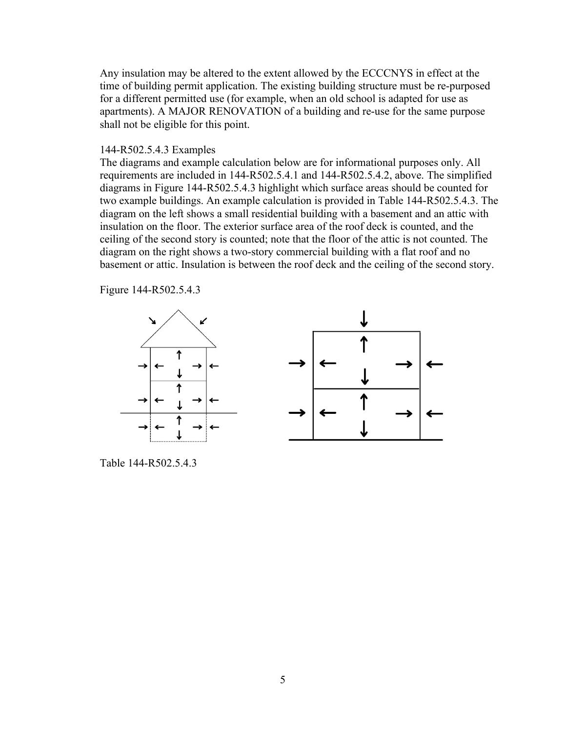Any insulation may be altered to the extent allowed by the ECCCNYS in effect at the time of building permit application. The existing building structure must be re-purposed for a different permitted use (for example, when an old school is adapted for use as apartments). A MAJOR RENOVATION of a building and re-use for the same purpose shall not be eligible for this point.

#### 144-R502.5.4.3 Examples

The diagrams and example calculation below are for informational purposes only. All requirements are included in 144-R502.5.4.1 and 144-R502.5.4.2, above. The simplified diagrams in Figure 144-R502.5.4.3 highlight which surface areas should be counted for two example buildings. An example calculation is provided in Table 144-R502.5.4.3. The diagram on the left shows a small residential building with a basement and an attic with insulation on the floor. The exterior surface area of the roof deck is counted, and the ceiling of the second story is counted; note that the floor of the attic is not counted. The diagram on the right shows a two-story commercial building with a flat roof and no basement or attic. Insulation is between the roof deck and the ceiling of the second story.

Figure 144-R502.5.4.3



Table 144-R502.5.4.3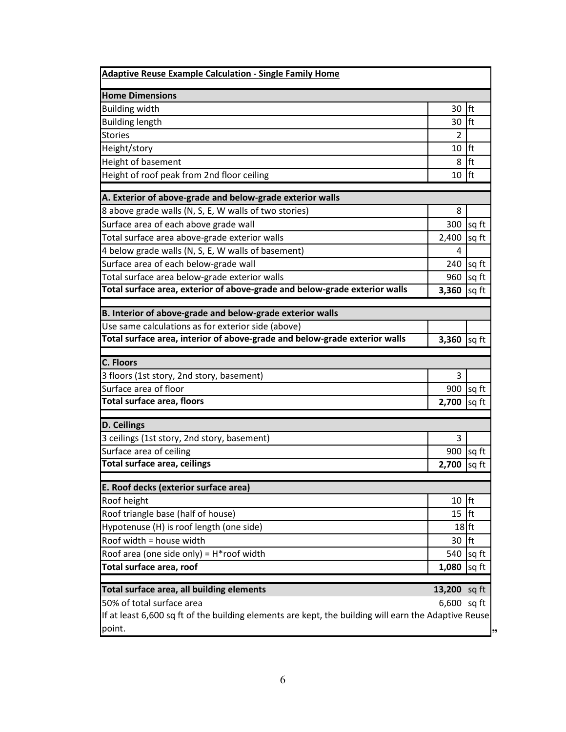| <b>Adaptive Reuse Example Calculation - Single Family Home</b>                                                  |                |                    |  |
|-----------------------------------------------------------------------------------------------------------------|----------------|--------------------|--|
| <b>Home Dimensions</b>                                                                                          |                |                    |  |
| <b>Building width</b>                                                                                           | 30             | <b>lft</b>         |  |
| <b>Building length</b>                                                                                          | 30   ft        |                    |  |
| <b>Stories</b>                                                                                                  | $\overline{2}$ |                    |  |
| Height/story                                                                                                    | $10$ Ift       |                    |  |
| Height of basement                                                                                              | 8              | <b>lft</b>         |  |
| Height of roof peak from 2nd floor ceiling                                                                      | 10             | <b>Ift</b>         |  |
| A. Exterior of above-grade and below-grade exterior walls                                                       |                |                    |  |
| 8 above grade walls (N, S, E, W walls of two stories)                                                           | 8              |                    |  |
| Surface area of each above grade wall                                                                           |                | 300   sq ft        |  |
| Total surface area above-grade exterior walls                                                                   | $2,400$ sq ft  |                    |  |
| 4 below grade walls (N, S, E, W walls of basement)                                                              | 4              |                    |  |
| Surface area of each below-grade wall                                                                           |                | 240 $\sqrt{sq}$ ft |  |
| Total surface area below-grade exterior walls                                                                   |                | $960$ sq ft        |  |
| Total surface area, exterior of above-grade and below-grade exterior walls                                      | 3,360          | sq ft              |  |
|                                                                                                                 |                |                    |  |
| B. Interior of above-grade and below-grade exterior walls<br>Use same calculations as for exterior side (above) |                |                    |  |
| Total surface area, interior of above-grade and below-grade exterior walls                                      | $3,360$ sq ft  |                    |  |
|                                                                                                                 |                |                    |  |
| <b>C. Floors</b>                                                                                                |                |                    |  |
| 3 floors (1st story, 2nd story, basement)                                                                       | 3              |                    |  |
| Surface area of floor                                                                                           |                | $900$ sq ft        |  |
| <b>Total surface area, floors</b>                                                                               | $2,700$ sq ft  |                    |  |
| D. Ceilings                                                                                                     |                |                    |  |
| 3 ceilings (1st story, 2nd story, basement)                                                                     | 3              |                    |  |
| Surface area of ceiling                                                                                         |                | 900   sq ft        |  |
| <b>Total surface area, ceilings</b>                                                                             | 2,700 sq ft    |                    |  |
| E. Roof decks (exterior surface area)                                                                           |                |                    |  |
| Roof height                                                                                                     | 10             | ft                 |  |
| Roof triangle base (half of house)                                                                              | 15             | <b>Ift</b>         |  |
| Hypotenuse (H) is roof length (one side)                                                                        | $18$ ft        |                    |  |
| Roof width = house width                                                                                        | 30   ft        |                    |  |
| Roof area (one side only) = $H*$ roof width                                                                     | 540            | sq ft              |  |
| Total surface area, roof                                                                                        | 1,080          | sq ft              |  |
|                                                                                                                 |                |                    |  |
| Total surface area, all building elements                                                                       | 13,200 sq ft   |                    |  |
| 50% of total surface area                                                                                       | $6,600$ sq ft  |                    |  |
| If at least 6,600 sq ft of the building elements are kept, the building will earn the Adaptive Reuse<br>point.  |                |                    |  |